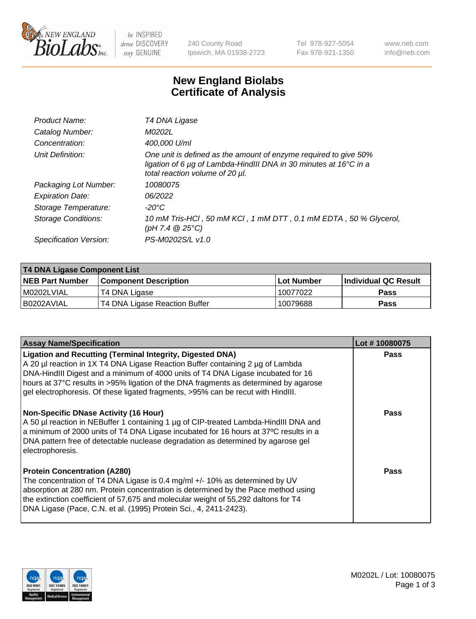

be INSPIRED drive DISCOVERY stay GENUINE

240 County Road Ipswich, MA 01938-2723 Tel 978-927-5054 Fax 978-921-1350 www.neb.com info@neb.com

## **New England Biolabs Certificate of Analysis**

| Product Name:              | T4 DNA Ligase                                                                                                                                                            |
|----------------------------|--------------------------------------------------------------------------------------------------------------------------------------------------------------------------|
| Catalog Number:            | M0202L                                                                                                                                                                   |
| Concentration:             | 400,000 U/ml                                                                                                                                                             |
| Unit Definition:           | One unit is defined as the amount of enzyme required to give 50%<br>ligation of 6 µg of Lambda-HindIII DNA in 30 minutes at 16°C in a<br>total reaction volume of 20 µl. |
| Packaging Lot Number:      | 10080075                                                                                                                                                                 |
| <b>Expiration Date:</b>    | 06/2022                                                                                                                                                                  |
| Storage Temperature:       | $-20^{\circ}$ C                                                                                                                                                          |
| <b>Storage Conditions:</b> | 10 mM Tris-HCl, 50 mM KCl, 1 mM DTT, 0.1 mM EDTA, 50 % Glycerol,<br>(pH 7.4 $@25°C$ )                                                                                    |
| Specification Version:     | PS-M0202S/L v1.0                                                                                                                                                         |

| T4 DNA Ligase Component List |                               |            |                      |  |
|------------------------------|-------------------------------|------------|----------------------|--|
| <b>NEB Part Number</b>       | <b>Component Description</b>  | Lot Number | Individual QC Result |  |
| M0202LVIAL                   | T4 DNA Ligase                 | 10077022   | <b>Pass</b>          |  |
| I B0202AVIAL                 | T4 DNA Ligase Reaction Buffer | 10079688   | <b>Pass</b>          |  |

| <b>Assay Name/Specification</b>                                                                                                                                                                                                                                                                                                                                                                                    | Lot #10080075 |
|--------------------------------------------------------------------------------------------------------------------------------------------------------------------------------------------------------------------------------------------------------------------------------------------------------------------------------------------------------------------------------------------------------------------|---------------|
| <b>Ligation and Recutting (Terminal Integrity, Digested DNA)</b><br>A 20 µl reaction in 1X T4 DNA Ligase Reaction Buffer containing 2 µg of Lambda<br>DNA-HindIII Digest and a minimum of 4000 units of T4 DNA Ligase incubated for 16<br>hours at 37°C results in >95% ligation of the DNA fragments as determined by agarose<br>gel electrophoresis. Of these ligated fragments, >95% can be recut with HindIII. | <b>Pass</b>   |
| <b>Non-Specific DNase Activity (16 Hour)</b><br>A 50 µl reaction in NEBuffer 1 containing 1 µg of CIP-treated Lambda-HindIII DNA and<br>a minimum of 2000 units of T4 DNA Ligase incubated for 16 hours at 37°C results in a<br>DNA pattern free of detectable nuclease degradation as determined by agarose gel<br>electrophoresis.                                                                               | <b>Pass</b>   |
| <b>Protein Concentration (A280)</b><br>The concentration of T4 DNA Ligase is 0.4 mg/ml +/- 10% as determined by UV<br>absorption at 280 nm. Protein concentration is determined by the Pace method using<br>the extinction coefficient of 57,675 and molecular weight of 55,292 daltons for T4<br>DNA Ligase (Pace, C.N. et al. (1995) Protein Sci., 4, 2411-2423).                                                | Pass          |

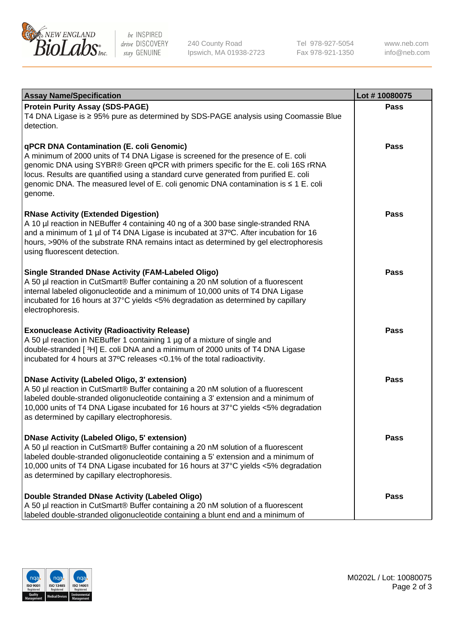

be INSPIRED drive DISCOVERY stay GENUINE

240 County Road Ipswich, MA 01938-2723 Tel 978-927-5054 Fax 978-921-1350 www.neb.com info@neb.com

| <b>Assay Name/Specification</b>                                                                                                                                                                                                                                                                                                                                                                             | Lot #10080075 |
|-------------------------------------------------------------------------------------------------------------------------------------------------------------------------------------------------------------------------------------------------------------------------------------------------------------------------------------------------------------------------------------------------------------|---------------|
| <b>Protein Purity Assay (SDS-PAGE)</b><br>T4 DNA Ligase is ≥ 95% pure as determined by SDS-PAGE analysis using Coomassie Blue<br>detection.                                                                                                                                                                                                                                                                 | <b>Pass</b>   |
| qPCR DNA Contamination (E. coli Genomic)<br>A minimum of 2000 units of T4 DNA Ligase is screened for the presence of E. coli<br>genomic DNA using SYBR® Green qPCR with primers specific for the E. coli 16S rRNA<br>locus. Results are quantified using a standard curve generated from purified E. coli<br>genomic DNA. The measured level of E. coli genomic DNA contamination is ≤ 1 E. coli<br>genome. | Pass          |
| <b>RNase Activity (Extended Digestion)</b><br>A 10 µl reaction in NEBuffer 4 containing 40 ng of a 300 base single-stranded RNA<br>and a minimum of 1 µl of T4 DNA Ligase is incubated at 37°C. After incubation for 16<br>hours, >90% of the substrate RNA remains intact as determined by gel electrophoresis<br>using fluorescent detection.                                                             | Pass          |
| <b>Single Stranded DNase Activity (FAM-Labeled Oligo)</b><br>A 50 µl reaction in CutSmart® Buffer containing a 20 nM solution of a fluorescent<br>internal labeled oligonucleotide and a minimum of 10,000 units of T4 DNA Ligase<br>incubated for 16 hours at 37°C yields <5% degradation as determined by capillary<br>electrophoresis.                                                                   | Pass          |
| <b>Exonuclease Activity (Radioactivity Release)</b><br>A 50 µl reaction in NEBuffer 1 containing 1 µg of a mixture of single and<br>double-stranded [3H] E. coli DNA and a minimum of 2000 units of T4 DNA Ligase<br>incubated for 4 hours at 37°C releases <0.1% of the total radioactivity.                                                                                                               | <b>Pass</b>   |
| <b>DNase Activity (Labeled Oligo, 3' extension)</b><br>A 50 µl reaction in CutSmart® Buffer containing a 20 nM solution of a fluorescent<br>labeled double-stranded oligonucleotide containing a 3' extension and a minimum of<br>10,000 units of T4 DNA Ligase incubated for 16 hours at 37°C yields <5% degradation<br>as determined by capillary electrophoresis.                                        | <b>Pass</b>   |
| <b>DNase Activity (Labeled Oligo, 5' extension)</b><br>A 50 µl reaction in CutSmart® Buffer containing a 20 nM solution of a fluorescent<br>labeled double-stranded oligonucleotide containing a 5' extension and a minimum of<br>10,000 units of T4 DNA Ligase incubated for 16 hours at 37°C yields <5% degradation<br>as determined by capillary electrophoresis.                                        | <b>Pass</b>   |
| <b>Double Stranded DNase Activity (Labeled Oligo)</b><br>A 50 µl reaction in CutSmart® Buffer containing a 20 nM solution of a fluorescent<br>labeled double-stranded oligonucleotide containing a blunt end and a minimum of                                                                                                                                                                               | Pass          |